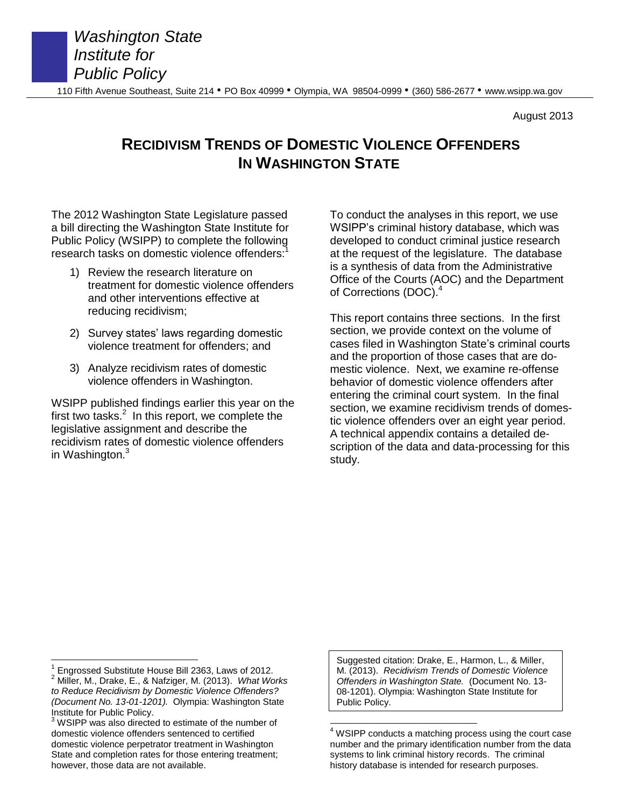August 2013

# **RECIDIVISM TRENDS OF DOMESTIC VIOLENCE OFFENDERS IN WASHINGTON STATE**

The 2012 Washington State Legislature passed a bill directing the Washington State Institute for Public Policy (WSIPP) to complete the following research tasks on domestic violence offenders:<sup>1</sup>

- 1) Review the research literature on treatment for domestic violence offenders and other interventions effective at reducing recidivism;
- 2) Survey states' laws regarding domestic violence treatment for offenders; and
- 3) Analyze recidivism rates of domestic violence offenders in Washington.

WSIPP published findings earlier this year on the first two tasks. $2$  In this report, we complete the legislative assignment and describe the recidivism rates of domestic violence offenders in Washington. $3$ 

To conduct the analyses in this report, we use WSIPP's criminal history database, which was developed to conduct criminal justice research at the request of the legislature. The database is a synthesis of data from the Administrative Office of the Courts (AOC) and the Department of Corrections (DOC).<sup>4</sup>

This report contains three sections. In the first section, we provide context on the volume of cases filed in Washington State's criminal courts and the proportion of those cases that are domestic violence. Next, we examine re-offense behavior of domestic violence offenders after entering the criminal court system. In the final section, we examine recidivism trends of domestic violence offenders over an eight year period. A technical appendix contains a detailed description of the data and data-processing for this study.

Suggested citation: Drake, E., Harmon, L., & Miller, M. (2013). *Recidivism Trends of Domestic Violence Offenders in Washington State.* (Document No. 13- 08-1201). Olympia: Washington State Institute for Public Policy.

 $\overline{a}$ 1 Engrossed Substitute House Bill 2363, Laws of 2012.

<sup>2</sup> Miller, M., Drake, E., & Nafziger, M. (2013). *What Works to Reduce Recidivism by Domestic Violence Offenders? (Document No. 13-01-1201).* Olympia: Washington State Institute for Public Policy.

WSIPP was also directed to estimate of the number of domestic violence offenders sentenced to certified domestic violence perpetrator treatment in Washington State and completion rates for those entering treatment; however, those data are not available.

 $\overline{\phantom{a}}$  $4$  WSIPP conducts a matching process using the court case number and the primary identification number from the data systems to link criminal history records. The criminal history database is intended for research purposes.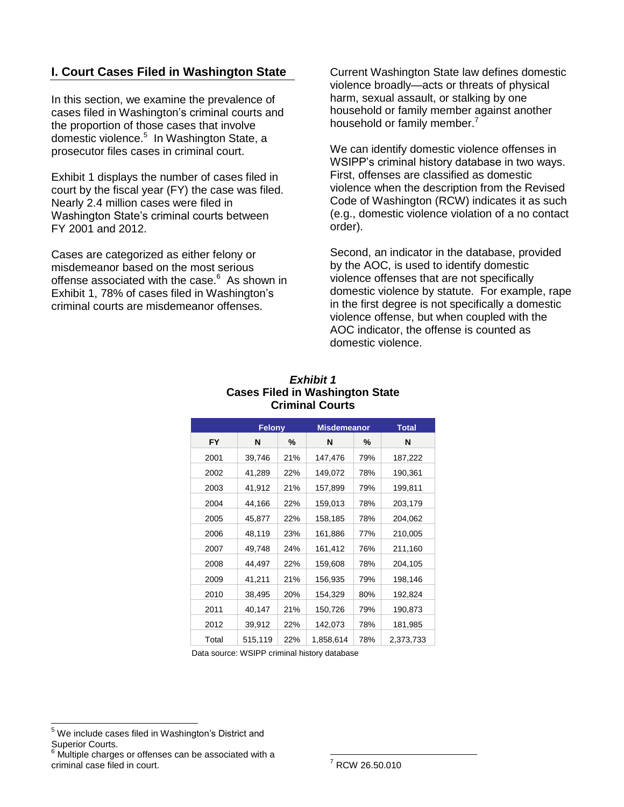## **I. Court Cases Filed in Washington State**

In this section, we examine the prevalence of cases filed in Washington's criminal courts and the proportion of those cases that involve domestic violence.<sup>5</sup> In Washington State, a prosecutor files cases in criminal court.

Exhibit 1 displays the number of cases filed in court by the fiscal year (FY) the case was filed. Nearly 2.4 million cases were filed in Washington State's criminal courts between FY 2001 and 2012.

Cases are categorized as either felony or misdemeanor based on the most serious offense associated with the case.<sup>6</sup> As shown in Exhibit 1, 78% of cases filed in Washington's criminal courts are misdemeanor offenses.

Current Washington State law defines domestic violence broadly—acts or threats of physical harm, sexual assault, or stalking by one household or family member against another household or family member.<sup>7</sup>

We can identify domestic violence offenses in WSIPP's criminal history database in two ways. First, offenses are classified as domestic violence when the description from the Revised Code of Washington (RCW) indicates it as such (e.g., domestic violence violation of a no contact order).

Second, an indicator in the database, provided by the AOC, is used to identify domestic violence offenses that are not specifically domestic violence by statute. For example, rape in the first degree is not specifically a domestic violence offense, but when coupled with the AOC indicator, the offense is counted as domestic violence.

|       | Felony  |     | <b>Misdemeanor</b> |     | <b>Total</b> |  |
|-------|---------|-----|--------------------|-----|--------------|--|
| FY    | N       | %   | N                  | ℅   | N            |  |
| 2001  | 39,746  | 21% | 147,476            | 79% | 187,222      |  |
| 2002  | 41,289  | 22% | 149,072            | 78% | 190,361      |  |
| 2003  | 41,912  | 21% | 157,899            | 79% | 199,811      |  |
| 2004  | 44,166  | 22% | 159,013            | 78% | 203,179      |  |
| 2005  | 45,877  | 22% | 158,185            | 78% | 204,062      |  |
| 2006  | 48,119  | 23% | 161,886            | 77% | 210,005      |  |
| 2007  | 49,748  | 24% | 161,412            | 76% | 211,160      |  |
| 2008  | 44,497  | 22% | 159,608            | 78% | 204,105      |  |
| 2009  | 41,211  | 21% | 156,935            | 79% | 198,146      |  |
| 2010  | 38,495  | 20% | 154,329            | 80% | 192,824      |  |
| 2011  | 40,147  | 21% | 150,726            | 79% | 190,873      |  |
| 2012  | 39,912  | 22% | 142,073            | 78% | 181,985      |  |
| Total | 515,119 | 22% | 1,858,614          | 78% | 2,373,733    |  |

#### *Exhibit 1* **Cases Filed in Washington State Criminal Courts**

Data source: WSIPP criminal history database

 $\overline{a}$ 

<sup>&</sup>lt;sup>5</sup> We include cases filed in Washington's District and Superior Courts.

Multiple charges or offenses can be associated with a criminal case filed in court.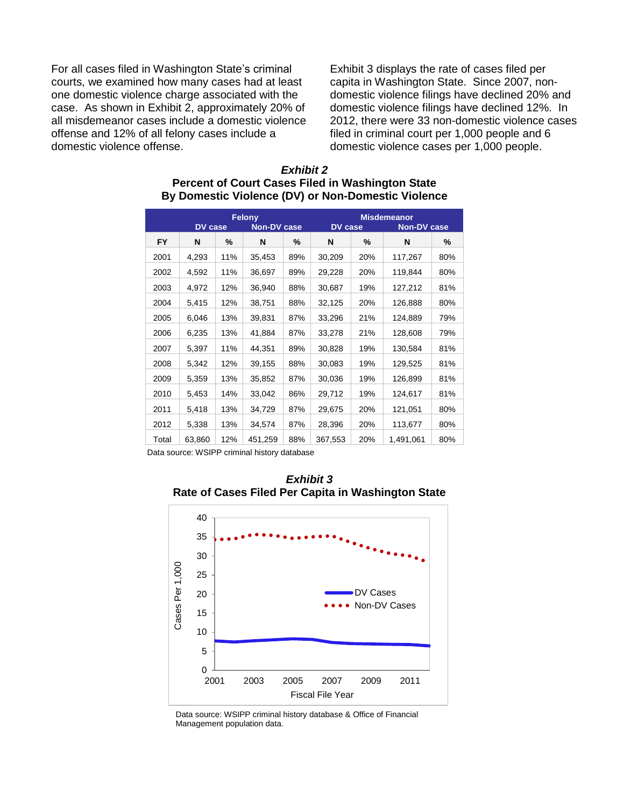For all cases filed in Washington State's criminal courts, we examined how many cases had at least one domestic violence charge associated with the case. As shown in Exhibit 2, approximately 20% of all misdemeanor cases include a domestic violence offense and 12% of all felony cases include a domestic violence offense.

Exhibit 3 displays the rate of cases filed per capita in Washington State. Since 2007, nondomestic violence filings have declined 20% and domestic violence filings have declined 12%. In 2012, there were 33 non-domestic violence cases filed in criminal court per 1,000 people and 6 domestic violence cases per 1,000 people.

|           | <b>DV</b> case |     | Felony<br><b>Non-DV case</b> |     | <b>DV</b> case |     | <b>Misdemeanor</b><br><b>Non-DV case</b> |     |
|-----------|----------------|-----|------------------------------|-----|----------------|-----|------------------------------------------|-----|
| <b>FY</b> | N              | %   | N                            | ℅   | N              | %   | N                                        | %   |
| 2001      | 4,293          | 11% | 35,453                       | 89% | 30,209         | 20% | 117,267                                  | 80% |
| 2002      | 4,592          | 11% | 36,697                       | 89% | 29,228         | 20% | 119,844                                  | 80% |
| 2003      | 4,972          | 12% | 36,940                       | 88% | 30,687         | 19% | 127,212                                  | 81% |
| 2004      | 5,415          | 12% | 38,751                       | 88% | 32,125         | 20% | 126,888                                  | 80% |
| 2005      | 6,046          | 13% | 39,831                       | 87% | 33,296         | 21% | 124,889                                  | 79% |
| 2006      | 6,235          | 13% | 41,884                       | 87% | 33,278         | 21% | 128,608                                  | 79% |
| 2007      | 5,397          | 11% | 44,351                       | 89% | 30,828         | 19% | 130,584                                  | 81% |
| 2008      | 5,342          | 12% | 39,155                       | 88% | 30,083         | 19% | 129,525                                  | 81% |
| 2009      | 5,359          | 13% | 35,852                       | 87% | 30,036         | 19% | 126,899                                  | 81% |
| 2010      | 5,453          | 14% | 33,042                       | 86% | 29,712         | 19% | 124,617                                  | 81% |
| 2011      | 5,418          | 13% | 34,729                       | 87% | 29,675         | 20% | 121,051                                  | 80% |
| 2012      | 5,338          | 13% | 34,574                       | 87% | 28,396         | 20% | 113,677                                  | 80% |
| Total     | 63,860         | 12% | 451,259                      | 88% | 367,553        | 20% | 1,491,061                                | 80% |

#### *Exhibit 2* **Percent of Court Cases Filed in Washington State By Domestic Violence (DV) or Non-Domestic Violence**

Data source: WSIPP criminal history database





Data source: WSIPP criminal history database & Office of Financial Management population data.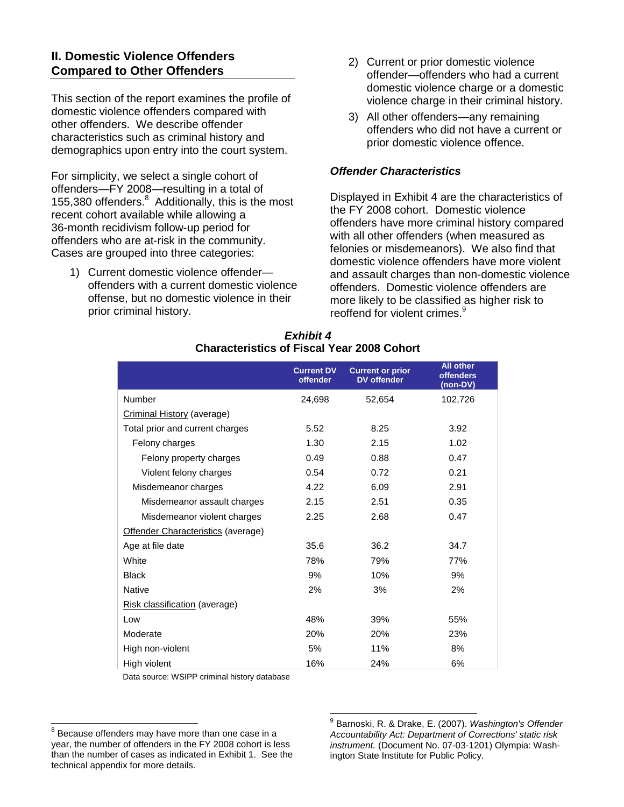## **II. Domestic Violence Offenders Compared to Other Offenders**

This section of the report examines the profile of domestic violence offenders compared with other offenders. We describe offender characteristics such as criminal history and demographics upon entry into the court system.

For simplicity, we select a single cohort of offenders—FY 2008—resulting in a total of 155,380 offenders. 8 Additionally, this is the most recent cohort available while allowing a 36-month recidivism follow-up period for offenders who are at-risk in the community. Cases are grouped into three categories:

1) Current domestic violence offender offenders with a current domestic violence offense, but no domestic violence in their prior criminal history.

- 2) Current or prior domestic violence offender—offenders who had a current domestic violence charge or a domestic violence charge in their criminal history.
- 3) All other offenders—any remaining offenders who did not have a current or prior domestic violence offence.

## *Offender Characteristics*

Displayed in Exhibit 4 are the characteristics of the FY 2008 cohort. Domestic violence offenders have more criminal history compared with all other offenders (when measured as felonies or misdemeanors). We also find that domestic violence offenders have more violent and assault charges than non-domestic violence offenders. Domestic violence offenders are more likely to be classified as higher risk to reoffend for violent crimes.<sup>9</sup>

|                                    | <b>Current DV</b><br>offender | <b>Current or prior</b><br><b>DV</b> offender | All other<br><b>offenders</b><br>(non-DV) |
|------------------------------------|-------------------------------|-----------------------------------------------|-------------------------------------------|
| Number                             | 24,698                        | 52,654                                        | 102,726                                   |
| Criminal History (average)         |                               |                                               |                                           |
| Total prior and current charges    | 5.52                          | 8.25                                          | 3.92                                      |
| Felony charges                     | 1.30                          | 2.15                                          | 1.02                                      |
| Felony property charges            | 0.49                          | 0.88                                          | 0.47                                      |
| Violent felony charges             | 0.54                          | 0.72                                          | 0.21                                      |
| Misdemeanor charges                | 4.22                          | 6.09                                          | 2.91                                      |
| Misdemeanor assault charges        | 2.15                          | 2.51                                          | 0.35                                      |
| Misdemeanor violent charges        | 2.25                          | 2.68                                          | 0.47                                      |
| Offender Characteristics (average) |                               |                                               |                                           |
| Age at file date                   | 35.6                          | 36.2                                          | 34.7                                      |
| White                              | 78%                           | 79%                                           | 77%                                       |
| <b>Black</b>                       | 9%                            | 10%                                           | 9%                                        |
| Native                             | 2%                            | 3%                                            | 2%                                        |
| Risk classification (average)      |                               |                                               |                                           |
| Low                                | 48%                           | 39%                                           | 55%                                       |
| Moderate                           | 20%                           | 20%                                           | 23%                                       |
| High non-violent                   | 5%                            | 11%                                           | 8%                                        |
| High violent                       | 16%                           | 24%                                           | 6%                                        |

#### *Exhibit 4* **Characteristics of Fiscal Year 2008 Cohort**

Data source: WSIPP criminal history database

 $\overline{\phantom{a}}$ 

 $8$  Because offenders may have more than one case in a year, the number of offenders in the FY 2008 cohort is less than the number of cases as indicated in Exhibit 1. See the technical appendix for more details.

 9 Barnoski, R. & Drake, E. (2007). *Washington's Offender Accountability Act: Department of Corrections' static risk instrument.* (Document No. 07-03-1201) Olympia: Washington State Institute for Public Policy.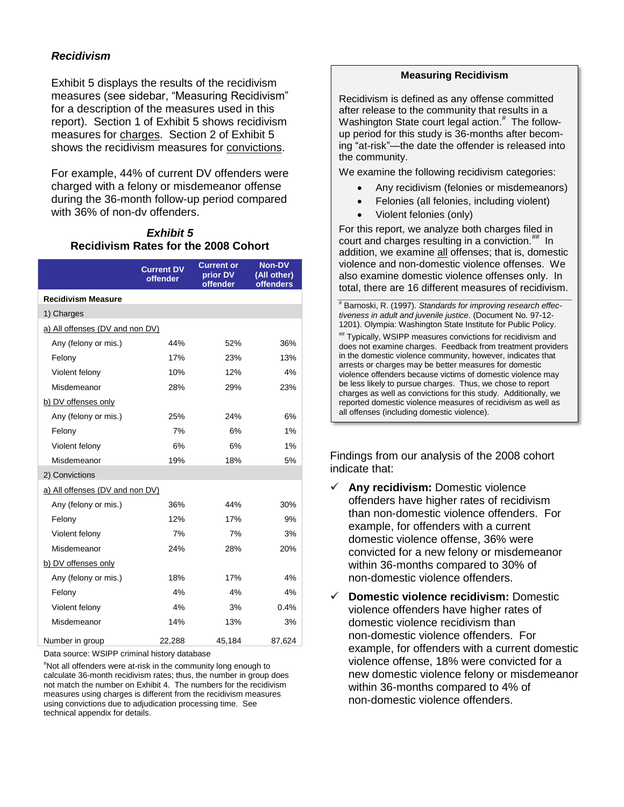## *Recidivism*

Exhibit 5 displays the results of the recidivism measures (see sidebar, "Measuring Recidivism" for a description of the measures used in this report). Section 1 of Exhibit 5 shows recidivism measures for charges. Section 2 of Exhibit 5 shows the recidivism measures for convictions.

For example, 44% of current DV offenders were charged with a felony or misdemeanor offense during the 36-month follow-up period compared with 36% of non-dv offenders.

### *Exhibit 5* **Recidivism Rates for the 2008 Cohort**

|                                 | <b>Current DV</b><br>offender | <b>Current or</b><br>prior DV<br>offender | <b>Non-DV</b><br>(All other)<br><b>offenders</b> |  |
|---------------------------------|-------------------------------|-------------------------------------------|--------------------------------------------------|--|
| <b>Recidivism Measure</b>       |                               |                                           |                                                  |  |
| 1) Charges                      |                               |                                           |                                                  |  |
| a) All offenses (DV and non DV) |                               |                                           |                                                  |  |
| Any (felony or mis.)            | 44%                           | 52%                                       | 36%                                              |  |
| Felony                          | 17%                           | 23%                                       | 13%                                              |  |
| Violent felony                  | 10%                           | 12%                                       | 4%                                               |  |
| Misdemeanor                     | 28%                           | 29%                                       | 23%                                              |  |
| b) DV offenses only             |                               |                                           |                                                  |  |
| Any (felony or mis.)            | 25%                           | 24%                                       | 6%                                               |  |
| Felony                          | 7%                            | 6%                                        | 1%                                               |  |
| Violent felony                  | 6%                            | 6%                                        | 1%                                               |  |
| Misdemeanor                     | 19%                           | 18%                                       | 5%                                               |  |
| 2) Convictions                  |                               |                                           |                                                  |  |
| a) All offenses (DV and non DV) |                               |                                           |                                                  |  |
| Any (felony or mis.)            | 36%                           | 44%                                       | 30%                                              |  |
| Felony                          | 12%                           | 17%                                       | 9%                                               |  |
| Violent felony                  | 7%                            | 7%                                        | 3%                                               |  |
| Misdemeanor                     | 24%                           | 28%                                       | 20%                                              |  |
| b) DV offenses only             |                               |                                           |                                                  |  |
| Any (felony or mis.)            | 18%                           | 17%                                       | 4%                                               |  |
| Felony                          | 4%                            | 4%                                        | 4%                                               |  |
| Violent felony                  | 4%                            | 3%                                        | 0.4%                                             |  |
| Misdemeanor                     | 14%                           | 13%                                       | 3%                                               |  |
| Number in group                 | 22,288                        | 45,184                                    | 87,624                                           |  |

Data source: WSIPP criminal history database

#Not all offenders were at-risk in the community long enough to calculate 36-month recidivism rates; thus, the number in group does not match the number on Exhibit 4. The numbers for the recidivism measures using charges is different from the recidivism measures using convictions due to adjudication processing time. See technical appendix for details.

#### **Measuring Recidivism**

Recidivism is defined as any offense committed after release to the community that results in a Washington State court legal action.<sup>#</sup> The followup period for this study is 36-months after becoming "at-risk"—the date the offender is released into the community.

We examine the following recidivism categories:

- Any recidivism (felonies or misdemeanors)
- Felonies (all felonies, including violent)
- Violent felonies (only)

For this report, we analyze both charges filed in court and charges resulting in a conviction.<sup>##</sup> In addition, we examine all offenses; that is, domestic violence and non-domestic violence offenses. We also examine domestic violence offenses only. In total, there are 16 different measures of recidivism.

# Barnoski, R. (1997). *Standards for improving research effectiveness in adult and juvenile justice*. (Document No. 97-12- 1201). Olympia: Washington State Institute for Public Policy.

## Typically, WSIPP measures convictions for recidivism and does not examine charges. Feedback from treatment providers in the domestic violence community, however, indicates that arrests or charges may be better measures for domestic violence offenders because victims of domestic violence may be less likely to pursue charges. Thus, we chose to report charges as well as convictions for this study. Additionally, we reported domestic violence measures of recidivism as well as all offenses (including domestic violence).

Findings from our analysis of the 2008 cohort indicate that:

- **Any recidivism:** Domestic violence offenders have higher rates of recidivism than non-domestic violence offenders. For example, for offenders with a current domestic violence offense, 36% were convicted for a new felony or misdemeanor within 36-months compared to 30% of non-domestic violence offenders.
- **Domestic violence recidivism:** Domestic violence offenders have higher rates of domestic violence recidivism than non-domestic violence offenders. For example, for offenders with a current domestic violence offense, 18% were convicted for a new domestic violence felony or misdemeanor within 36-months compared to 4% of non-domestic violence offenders.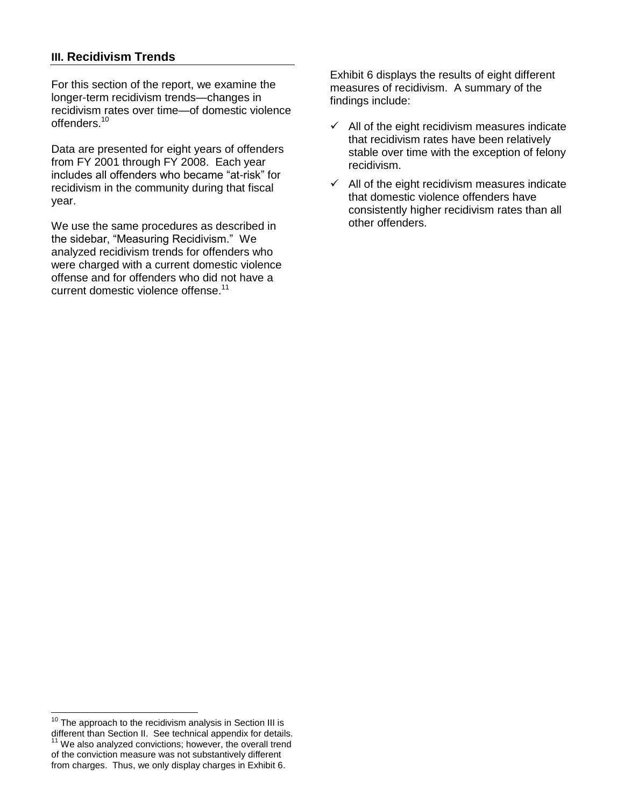## **III. Recidivism Trends**

For this section of the report, we examine the longer-term recidivism trends—changes in recidivism rates over time—of domestic violence offenders.<sup>10</sup>

Data are presented for eight years of offenders from FY 2001 through FY 2008. Each year includes all offenders who became "at-risk" for recidivism in the community during that fiscal year.

We use the same procedures as described in the sidebar, "Measuring Recidivism." We analyzed recidivism trends for offenders who were charged with a current domestic violence offense and for offenders who did not have a current domestic violence offense.<sup>11</sup>

Exhibit 6 displays the results of eight different measures of recidivism. A summary of the findings include:

- $\checkmark$  All of the eight recidivism measures indicate that recidivism rates have been relatively stable over time with the exception of felony recidivism.
- $\checkmark$  All of the eight recidivism measures indicate that domestic violence offenders have consistently higher recidivism rates than all other offenders.

 $\overline{a}$  $10$  The approach to the recidivism analysis in Section III is different than Section II. See technical appendix for details.  $11$  We also analyzed convictions; however, the overall trend of the conviction measure was not substantively different from charges. Thus, we only display charges in Exhibit 6.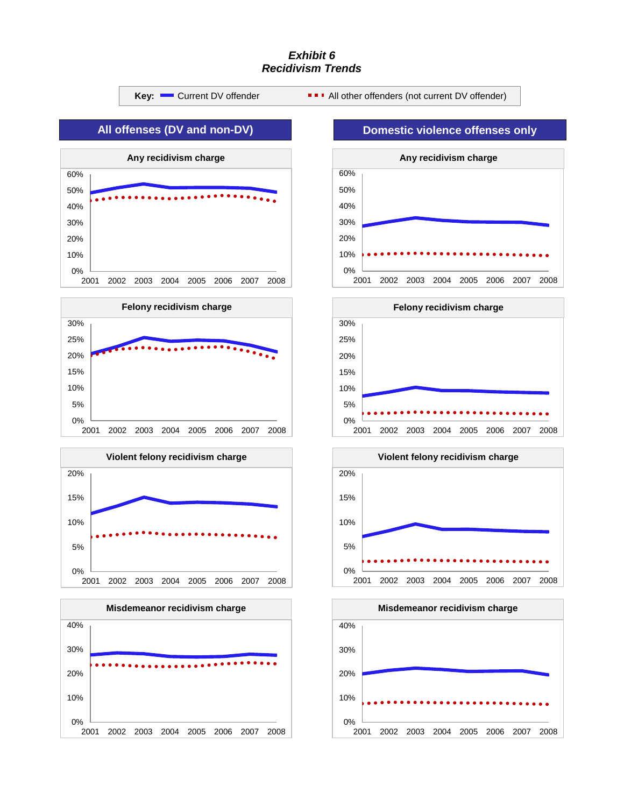#### *Exhibit 6 Recidivism Trends*



0%

2001 2002 2003 2004 2005 2006 2007 2008

 $\bullet\bullet\bullet\bullet\bullet\bullet\bullet$ 

10%

20%

30%

40%

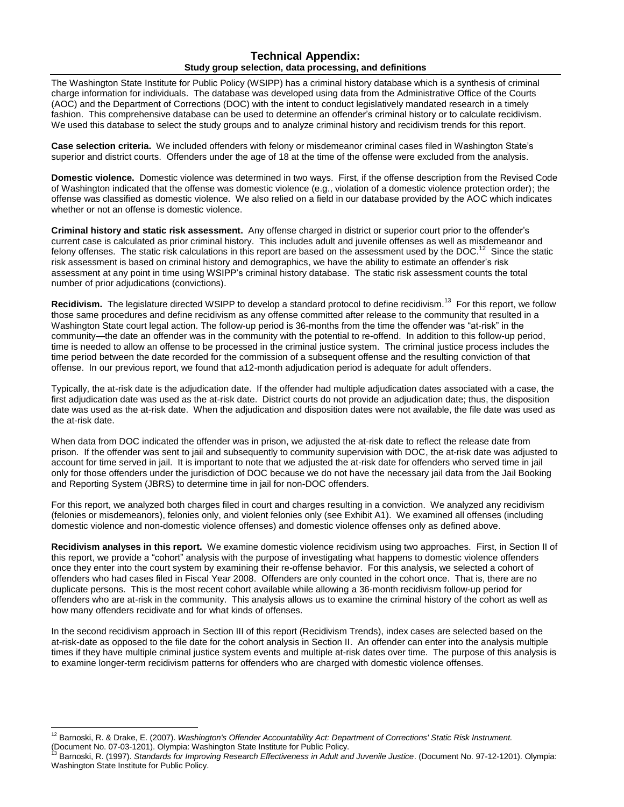#### **Technical Appendix: Study group selection, data processing, and definitions**

The Washington State Institute for Public Policy (WSIPP) has a criminal history database which is a synthesis of criminal charge information for individuals. The database was developed using data from the Administrative Office of the Courts (AOC) and the Department of Corrections (DOC) with the intent to conduct legislatively mandated research in a timely fashion. This comprehensive database can be used to determine an offender's criminal history or to calculate recidivism. We used this database to select the study groups and to analyze criminal history and recidivism trends for this report.

**Case selection criteria.** We included offenders with felony or misdemeanor criminal cases filed in Washington State's superior and district courts. Offenders under the age of 18 at the time of the offense were excluded from the analysis.

**Domestic violence.** Domestic violence was determined in two ways. First, if the offense description from the Revised Code of Washington indicated that the offense was domestic violence (e.g., violation of a domestic violence protection order); the offense was classified as domestic violence. We also relied on a field in our database provided by the AOC which indicates whether or not an offense is domestic violence.

**Criminal history and static risk assessment.** Any offense charged in district or superior court prior to the offender's current case is calculated as prior criminal history. This includes adult and juvenile offenses as well as misdemeanor and felony offenses. The static risk calculations in this report are based on the assessment used by the DOC.<sup>12</sup> Since the static risk assessment is based on criminal history and demographics, we have the ability to estimate an offender's risk assessment at any point in time using WSIPP's criminal history database. The static risk assessment counts the total number of prior adjudications (convictions).

Recidivism. The legislature directed WSIPP to develop a standard protocol to define recidivism.<sup>13</sup> For this report, we follow those same procedures and define recidivism as any offense committed after release to the community that resulted in a Washington State court legal action. The follow-up period is 36-months from the time the offender was "at-risk" in the community—the date an offender was in the community with the potential to re-offend. In addition to this follow-up period, time is needed to allow an offense to be processed in the criminal justice system. The criminal justice process includes the time period between the date recorded for the commission of a subsequent offense and the resulting conviction of that offense. In our previous report, we found that a12-month adjudication period is adequate for adult offenders.

Typically, the at-risk date is the adjudication date. If the offender had multiple adjudication dates associated with a case, the first adjudication date was used as the at-risk date. District courts do not provide an adjudication date; thus, the disposition date was used as the at-risk date. When the adjudication and disposition dates were not available, the file date was used as the at-risk date.

When data from DOC indicated the offender was in prison, we adjusted the at-risk date to reflect the release date from prison. If the offender was sent to jail and subsequently to community supervision with DOC, the at-risk date was adjusted to account for time served in jail. It is important to note that we adjusted the at-risk date for offenders who served time in jail only for those offenders under the jurisdiction of DOC because we do not have the necessary jail data from the Jail Booking and Reporting System (JBRS) to determine time in jail for non-DOC offenders.

For this report, we analyzed both charges filed in court and charges resulting in a conviction. We analyzed any recidivism (felonies or misdemeanors), felonies only, and violent felonies only (see Exhibit A1). We examined all offenses (including domestic violence and non-domestic violence offenses) and domestic violence offenses only as defined above.

**Recidivism analyses in this report.** We examine domestic violence recidivism using two approaches. First, in Section II of this report, we provide a "cohort" analysis with the purpose of investigating what happens to domestic violence offenders once they enter into the court system by examining their re-offense behavior. For this analysis, we selected a cohort of offenders who had cases filed in Fiscal Year 2008. Offenders are only counted in the cohort once. That is, there are no duplicate persons. This is the most recent cohort available while allowing a 36-month recidivism follow-up period for offenders who are at-risk in the community. This analysis allows us to examine the criminal history of the cohort as well as how many offenders recidivate and for what kinds of offenses.

In the second recidivism approach in Section III of this report (Recidivism Trends), index cases are selected based on the at-risk-date as opposed to the file date for the cohort analysis in Section II. An offender can enter into the analysis multiple times if they have multiple criminal justice system events and multiple at-risk dates over time. The purpose of this analysis is to examine longer-term recidivism patterns for offenders who are charged with domestic violence offenses.

 $\overline{a}$ <sup>12</sup> Barnoski, R. & Drake, E. (2007). *Washington's Offender Accountability Act: Department of Corrections' Static Risk Instrument.*

<sup>(</sup>Document No. 07-03-1201). Olympia: Washington State Institute for Public Policy.<br><sup>13</sup> Barnoski, R. (1997). *Standards for Improving Research Effectiveness in Adult and Juvenile Justice.* (Document No. 97-12-1201). Olympia Washington State Institute for Public Policy.